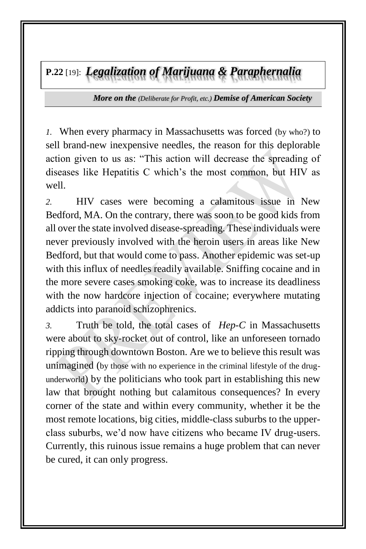**P.22** [19]: *Legalization of Marijuana & Paraphernalia*

*More on the (Deliberate for Profit, etc.) Demise of American Society*

*1.* When every pharmacy in Massachusetts was forced (by who?) to sell brand-new inexpensive needles, the reason for this deplorable action given to us as: "This action will decrease the spreading of diseases like Hepatitis C which's the most common, but HIV as well.

*2.* HIV cases were becoming a calamitous issue in New Bedford, MA. On the contrary, there was soon to be good kids from all over the state involved disease-spreading. These individuals were never previously involved with the heroin users in areas like New Bedford, but that would come to pass. Another epidemic was set-up with this influx of needles readily available. Sniffing cocaine and in the more severe cases smoking coke, was to increase its deadliness with the now hardcore injection of cocaine; everywhere mutating addicts into paranoid schizophrenics.

*3.* Truth be told, the total cases of *Hep-C* in Massachusetts were about to sky-rocket out of control, like an unforeseen tornado ripping through downtown Boston. Are we to believe this result was unimagined (by those with no experience in the criminal lifestyle of the drugunderworld) by the politicians who took part in establishing this new law that brought nothing but calamitous consequences? In every corner of the state and within every community, whether it be the most remote locations, big cities, middle-class suburbs to the upperclass suburbs, we'd now have citizens who became IV drug-users. Currently, this ruinous issue remains a huge problem that can never be cured, it can only progress.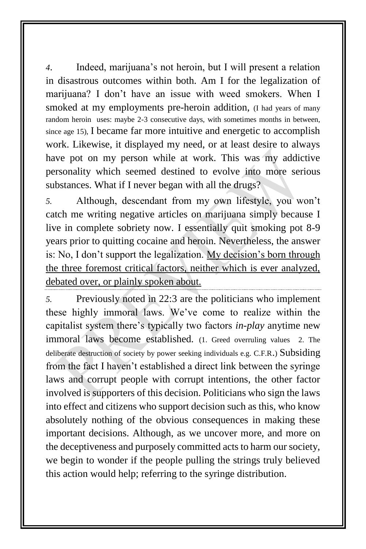*4*. Indeed, marijuana's not heroin, but I will present a relation in disastrous outcomes within both. Am I for the legalization of marijuana? I don't have an issue with weed smokers. When I smoked at my employments pre-heroin addition, (I had years of many random heroin uses: maybe 2-3 consecutive days, with sometimes months in between, since age 15), I became far more intuitive and energetic to accomplish work. Likewise, it displayed my need, or at least desire to always have pot on my person while at work. This was my addictive personality which seemed destined to evolve into more serious substances. What if I never began with all the drugs?

*5.* Although, descendant from my own lifestyle, you won't catch me writing negative articles on marijuana simply because I live in complete sobriety now. I essentially quit smoking pot 8-9 years prior to quitting cocaine and heroin. Nevertheless, the answer is: No, I don't support the legalization. My decision's born through the three foremost critical factors, neither which is ever analyzed, debated over, or plainly spoken about.

*5.* Previously noted in 22:3 are the politicians who implement these highly immoral laws. We've come to realize within the capitalist system there's typically two factors *in-play* anytime new immoral laws become established. (1. Greed overruling values 2. The deliberate destruction of society by power seeking individuals e.g. C.F.R.) Subsiding from the fact I haven't established a direct link between the syringe laws and corrupt people with corrupt intentions, the other factor involved is supporters of this decision. Politicians who sign the laws into effect and citizens who support decision such as this, who know absolutely nothing of the obvious consequences in making these important decisions. Although, as we uncover more, and more on the deceptiveness and purposely committed acts to harm our society, we begin to wonder if the people pulling the strings truly believed this action would help; referring to the syringe distribution.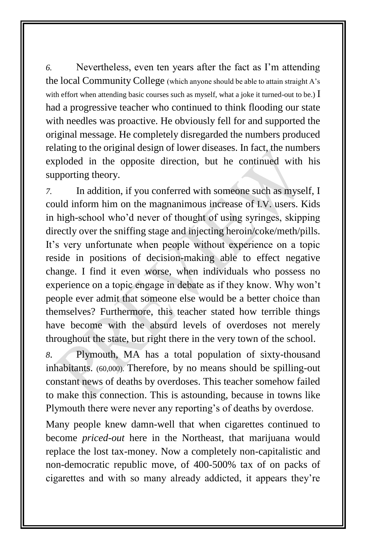*6.* Nevertheless, even ten years after the fact as I'm attending the local Community College (which anyone should be able to attain straight A's with effort when attending basic courses such as myself, what a joke it turned-out to be.)  $\overline{I}$ had a progressive teacher who continued to think flooding our state with needles was proactive. He obviously fell for and supported the original message. He completely disregarded the numbers produced relating to the original design of lower diseases. In fact, the numbers exploded in the opposite direction, but he continued with his supporting theory.

*7.* In addition, if you conferred with someone such as myself, I could inform him on the magnanimous increase of I.V. users. Kids in high-school who'd never of thought of using syringes, skipping directly over the sniffing stage and injecting heroin/coke/meth/pills. It's very unfortunate when people without experience on a topic reside in positions of decision-making able to effect negative change. I find it even worse, when individuals who possess no experience on a topic engage in debate as if they know. Why won't people ever admit that someone else would be a better choice than themselves? Furthermore, this teacher stated how terrible things have become with the absurd levels of overdoses not merely throughout the state, but right there in the very town of the school.

*8*. Plymouth, MA has a total population of sixty-thousand inhabitants. (60,000). Therefore, by no means should be spilling-out constant news of deaths by overdoses. This teacher somehow failed to make this connection. This is astounding, because in towns like Plymouth there were never any reporting's of deaths by overdose.

Many people knew damn-well that when cigarettes continued to become *priced-out* here in the Northeast, that marijuana would replace the lost tax-money. Now a completely non-capitalistic and non-democratic republic move, of 400-500% tax of on packs of cigarettes and with so many already addicted, it appears they're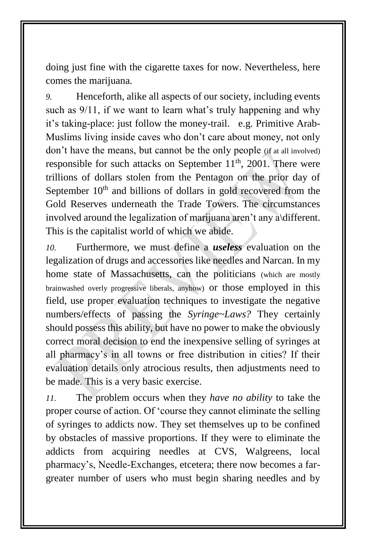doing just fine with the cigarette taxes for now. Nevertheless, here comes the marijuana.

*9.* Henceforth, alike all aspects of our society, including events such as  $9/11$ , if we want to learn what's truly happening and why it's taking-place: just follow the money-trail. e.g. Primitive Arab-Muslims living inside caves who don't care about money, not only don't have the means, but cannot be the only people (if at all involved) responsible for such attacks on September  $11<sup>th</sup>$ , 2001. There were trillions of dollars stolen from the Pentagon on the prior day of September  $10<sup>th</sup>$  and billions of dollars in gold recovered from the Gold Reserves underneath the Trade Towers. The circumstances involved around the legalization of marijuana aren't any a\different. This is the capitalist world of which we abide.

*10.* Furthermore, we must define a *useless* evaluation on the legalization of drugs and accessories like needles and Narcan. In my home state of Massachusetts, can the politicians (which are mostly brainwashed overly progressive liberals, anyhow) or those employed in this field, use proper evaluation techniques to investigate the negative numbers/effects of passing the *Syringe~Laws?* They certainly should possess this ability, but have no power to make the obviously correct moral decision to end the inexpensive selling of syringes at all pharmacy's in all towns or free distribution in cities? If their evaluation details only atrocious results, then adjustments need to be made. This is a very basic exercise.

*11.* The problem occurs when they *have no ability* to take the proper course of action. Of 'course they cannot eliminate the selling of syringes to addicts now. They set themselves up to be confined by obstacles of massive proportions. If they were to eliminate the addicts from acquiring needles at CVS, Walgreens, local pharmacy's, Needle-Exchanges, etcetera; there now becomes a fargreater number of users who must begin sharing needles and by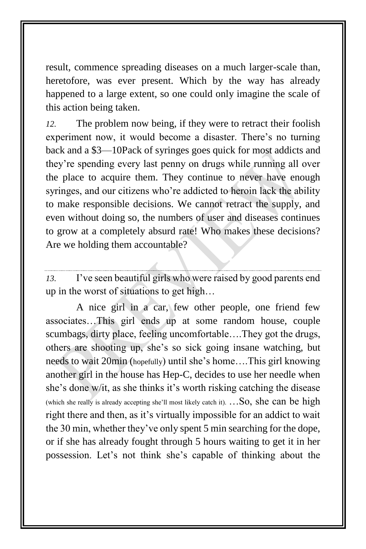result, commence spreading diseases on a much larger-scale than, heretofore, was ever present. Which by the way has already happened to a large extent, so one could only imagine the scale of this action being taken.

*12.* The problem now being, if they were to retract their foolish experiment now, it would become a disaster. There's no turning back and a \$3—10Pack of syringes goes quick for most addicts and they're spending every last penny on drugs while running all over the place to acquire them. They continue to never have enough syringes, and our citizens who're addicted to heroin lack the ability to make responsible decisions. We cannot retract the supply, and even without doing so, the numbers of user and diseases continues to grow at a completely absurd rate! Who makes these decisions? Are we holding them accountable?

*13.* I've seen beautiful girls who were raised by good parents end up in the worst of situations to get high…

A nice girl in a car, few other people, one friend few associates…This girl ends up at some random house, couple scumbags, dirty place, feeling uncomfortable….They got the drugs, others are shooting up, she's so sick going insane watching, but needs to wait 20min (hopefully) until she's home….This girl knowing another girl in the house has Hep-C, decides to use her needle when she's done w/it, as she thinks it's worth risking catching the disease (which she really is already accepting she'll most likely catch it).  $\ldots$ So, she can be high right there and then, as it's virtually impossible for an addict to wait the 30 min, whether they've only spent 5 min searching for the dope, or if she has already fought through 5 hours waiting to get it in her possession. Let's not think she's capable of thinking about the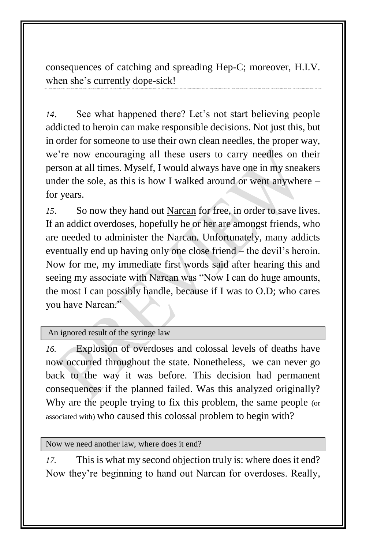consequences of catching and spreading Hep-C; moreover, H.I.V. when she's currently dope-sick!

*14*. See what happened there? Let's not start believing people addicted to heroin can make responsible decisions. Not just this, but in order for someone to use their own clean needles, the proper way, we're now encouraging all these users to carry needles on their person at all times. Myself, I would always have one in my sneakers under the sole, as this is how I walked around or went anywhere – for years.

*15*. So now they hand out Narcan for free, in order to save lives. If an addict overdoses, hopefully he or her are amongst friends, who are needed to administer the Narcan. Unfortunately, many addicts eventually end up having only one close friend – the devil's heroin. Now for me, my immediate first words said after hearing this and seeing my associate with Narcan was "Now I can do huge amounts, the most I can possibly handle, because if I was to O.D; who cares you have Narcan."

## An ignored result of the syringe law

*16.* Explosion of overdoses and colossal levels of deaths have now occurred throughout the state. Nonetheless, we can never go back to the way it was before. This decision had permanent consequences if the planned failed. Was this analyzed originally? Why are the people trying to fix this problem, the same people (or associated with) who caused this colossal problem to begin with?

Now we need another law, where does it end?

*17.* This is what my second objection truly is: where does it end? Now they're beginning to hand out Narcan for overdoses. Really,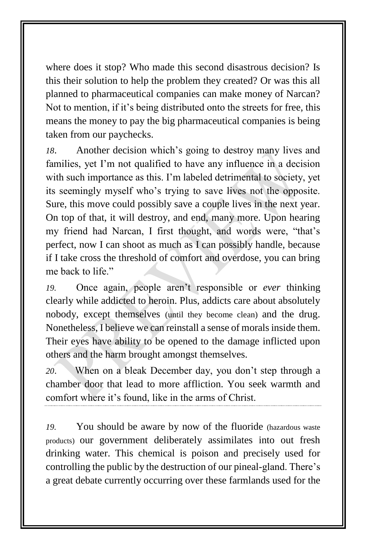where does it stop? Who made this second disastrous decision? Is this their solution to help the problem they created? Or was this all planned to pharmaceutical companies can make money of Narcan? Not to mention, if it's being distributed onto the streets for free, this means the money to pay the big pharmaceutical companies is being taken from our paychecks.

*18*. Another decision which's going to destroy many lives and families, yet I'm not qualified to have any influence in a decision with such importance as this. I'm labeled detrimental to society, yet its seemingly myself who's trying to save lives not the opposite. Sure, this move could possibly save a couple lives in the next year. On top of that, it will destroy, and end, many more. Upon hearing my friend had Narcan, I first thought, and words were, "that's perfect, now I can shoot as much as I can possibly handle, because if I take cross the threshold of comfort and overdose, you can bring me back to life"

*19.* Once again, people aren't responsible or *ever* thinking clearly while addicted to heroin. Plus, addicts care about absolutely nobody, except themselves (until they become clean) and the drug. Nonetheless, I believe we can reinstall a sense of morals inside them. Their eyes have ability to be opened to the damage inflicted upon others and the harm brought amongst themselves.

*20*. When on a bleak December day, you don't step through a chamber door that lead to more affliction. You seek warmth and comfort where it's found, like in the arms of Christ.

*19.* You should be aware by now of the fluoride (hazardous waste products) our government deliberately assimilates into out fresh drinking water. This chemical is poison and precisely used for controlling the public by the destruction of our pineal-gland. There's a great debate currently occurring over these farmlands used for the